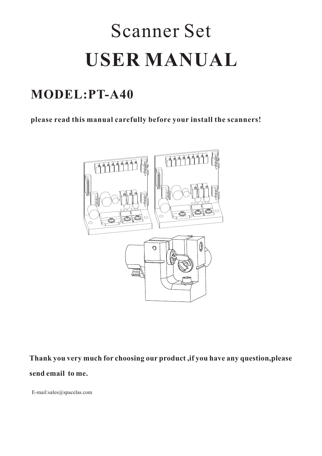# Scanner Set **USER MANUAL**

## **MODEL:PT-A40**

**please read this manual carefully before your install the scanners!**



**Thank you very much for choosing our product ,if you have any question,please send email to me.**

E-mail:sales@spacelas.com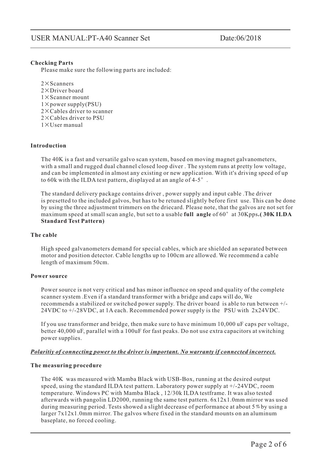#### **Checking Parts**

Please make sure the following parts are included:

 $2 \times$ Scanners  $2 \times$ Driver board  $1 \times$ Scanner mount  $1 \times$  power supply(PSU)  $2 \times$  Cables driver to scanner  $2 \times$ Cables driver to PSU  $1 \times$ User manual ¡Á¡Á¡Á¡Á¡Á¡Á

#### **Introduction**

The 40K is a fast and versatile galvo scan system, based on moving magnet galvanometers, with a small and rugged dual channel closed loop diver . The system runs at pretty low voltage, and can be implemented in almost any existing or new application. With it's driving speed of up to 60k with the ILDA test pattern, displayed at an angle of 4-5 $^{\circ}$ .

maximum speed at small scan angle, but set to a usable full angle of 60° at 30Kpps. (30K ILDA **Standard Test Pattern)** The standard delivery package contains driver , power supply and input cable .The driver is presetted to the included galvos, but has to be retuned slightly before first use. This can be done by using the three adjustment trimmers on the driecard. Please note, that the galvos are not set for

#### **The cable**

High speed galvanometers demand for special cables, which are shielded an separated between motor and position detector. Cable lengths up to 100cm are allowed. We recommend a cable length of maximum 50cm.

#### **Power source**

Power source is not very critical and has minor influence on speed and quality of the complete scanner system .Even if a standard transformer with a bridge and caps will do, We recommends a stabilized or switched power supply. The driver board is able to run between +/- 24VDC to +/-28VDC, at 1A each. Recommended power supply is the PSU with 2x24VDC.

If you use transformer and bridge, then make sure to have minimum 10,000 uF caps per voltage, better 40,000 uF, parallel with a 100uF for fast peaks. Do not use extra capacitors at switching power supplies.

#### *Polaritiy of connecting power to the driver is important. No warranty if connected incorrect.*

#### **The measuring procedure**

The 40K was measured with Mamba Black with USB-Box, running at the desired output speed, using the standard ILDA test pattern. Laboratory power supply at +/-24VDC, room temperature. Windows PC with Mamba Black , 12/30k ILDA testframe. It was also tested afterwards with pangolin LD2000, running the same test pattern. 6x12x1.0mm mirror was used during measuring period. Tests showed a slight decrease of performance at about 5% by using a larger 7x12x1.0mm mirror. The galvos where fixed in the standard mounts on an aluminum baseplate, no forced cooling.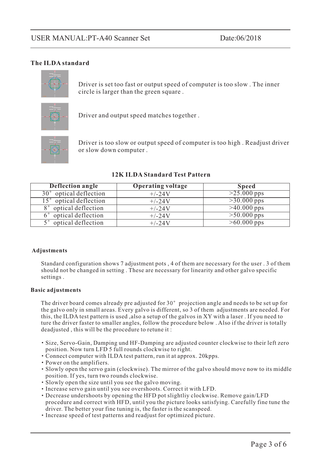#### **The ILDA standard**



Driver is set too fast or output speed of computer is too slow . The inner circle is larger than the green square .



Driver and output speed matches together .



Driver is too slow or output speed of computer is too high . Readjust driver or slow down computer .

| Deflection angle                  | <b>Operating voltage</b> | <b>Speed</b>  |
|-----------------------------------|--------------------------|---------------|
| 30° optical deflection            | $+/-24V$                 | $>25.000$ pps |
| 15° optical deflection            | $+/-24V$                 | $>30.000$ pps |
| optical deflection<br>$8^{\circ}$ | $+/-24V$                 | $>40.000$ pps |
| optical deflection<br>$6^\circ$   | $+/-24V$                 | $>50.000$ pps |
| optical deflection                | $+/-24V$                 | $>60.000$ pps |

#### **12K ILDA Standard Test Pattern**

#### **Adjustments**

Standard configuration shows 7 adjustment pots , 4 of them are necessary for the user . 3 of them should not be changed in setting . These are necessary for linearity and other galvo specific settings .

#### **Basic adjustments**

The driver board comes already pre adjusted for  $30^{\circ}$  projection angle and needs to be set up for the galvo only in small areas. Every galvo is different, so 3 of them adjustments are needed. For this, the ILDA test pattern is used ,also a setup of the galvos in XY with a laser . If you need to ture the driver faster to smaller angles, follow the procedure below . Also if the driver is totally deadjusted , this will be the procedure to retune it :

- Size, Servo-Gain, Damping und HF-Damping are adjusted counter clockwise to their left zero position. Now turn LFD 5 full rounds clockwise to right.
- Connect computer with ILDA test pattern, run it at approx. 20kpps.
- Power on the amplifiers.
- Slowly open the servo gain (clockwise). The mirror of the galvo should move now to its middle position. If yes, turn two rounds clockwise.
- Slowly open the size until you see the galvo moving.
- Increase servo gain until you see overshoots. Correct it with LFD.
- Decrease undershoots by opening the HFD pot slightliy clockwise. Remove gain/LFD procedure and correct with HFD, until you the picture looks satisfying. Carefully fine tune the driver. The better your fine tuning is, the faster is the scanspeed. ¡¤¡¤¡¤¡¤¡¤¡¤¡¤¡¤
- Increase speed of test patterns and readjust for optimized picture.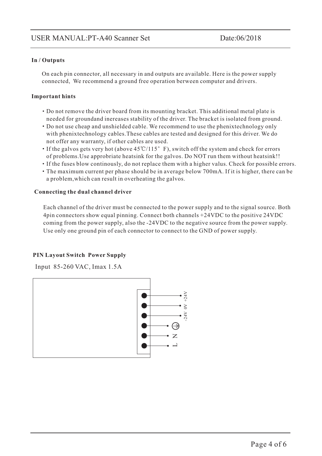#### **In / Outputs**

On each pin connector, all necessary in and outputs are available. Here is the power supply connected, We recommend a ground free operation berween computer and drivers.

#### **Important hints**

- Do not remove the driver board from its mounting bracket. This additional metal plate is needed for groundand inereases stability of the driver. The bracket is isolated from ground.
- Do not use cheap and unshielded cable. We recommend to use the phenixtechnology only with phenixtechnology cables.These cables are tested and designed for this driver. We do not offer any warranty, if other cables are used. ¡¤¡¤¡¤¡¤¡¤
- If the galvos gets very hot (above  $45^{\circ}$ C/115° F), switch off the system and check for errors of problems.Use approbriate heatsink for the galvos. Do NOT run them without heatsink!!
- If the fuses blow continously, do not replace them with a higher valus. Check for possible errors.
- The maximum current per phase should be in average below 700mA. If it is higher, there can be a problem,which can result in overheating the galvos.

#### **Connecting the dual channel driver**

Each channel of the driver must be connected to the power supply and to the signal source. Both 4pin connectors show equal pinning. Connect both channels +24VDC to the positive 24VDC coming from the power supply, also the -24VDC to the negative source from the power supply. Use only one ground pin of each connector to connect to the GND of power supply.

#### **PIN Layout Switch Power Supply**

Input 85-260 VAC, Imax 1.5A

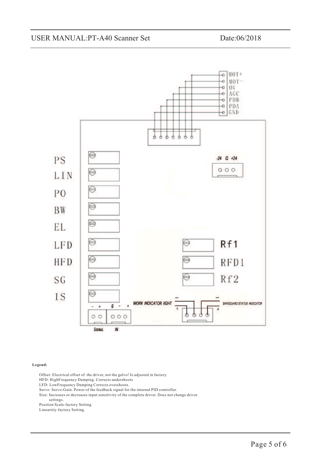

#### **Legend:**

Offset: Electrical offset of the driver, not the galvo! Is adjusted in factory.

HFD: HighFrequency Damping. Corrects undershoots

LFD: LowFrequency Damping Corrects overshoots.

Servo: Servo-Gain. Power of the feedback signal for the internal PID controller.

Size: Increases or decreases input sensitivity of the complete driver. Does not change driver

settings.

Position Scale:factory Setting.

Lineartity:factory Setting.